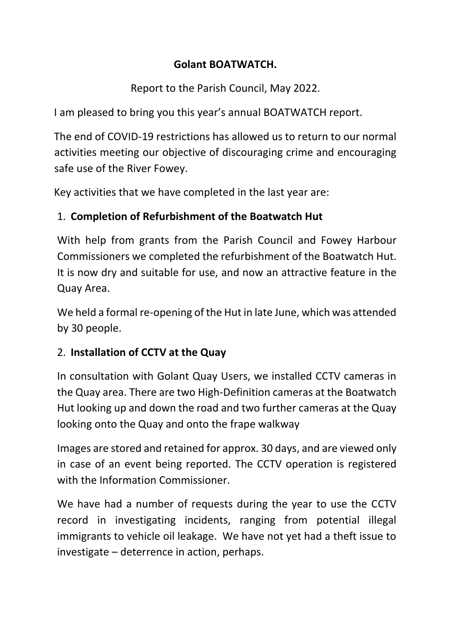#### **Golant BOATWATCH.**

Report to the Parish Council, May 2022.

I am pleased to bring you this year's annual BOATWATCH report.

The end of COVID-19 restrictions has allowed us to return to our normal activities meeting our objective of discouraging crime and encouraging safe use of the River Fowey.

Key activities that we have completed in the last year are:

## 1. **Completion of Refurbishment of the Boatwatch Hut**

With help from grants from the Parish Council and Fowey Harbour Commissioners we completed the refurbishment of the Boatwatch Hut. It is now dry and suitable for use, and now an attractive feature in the Quay Area.

We held a formal re-opening of the Hut in late June, which was attended by 30 people.

## 2. **Installation of CCTV at the Quay**

In consultation with Golant Quay Users, we installed CCTV cameras in the Quay area. There are two High-Definition cameras at the Boatwatch Hut looking up and down the road and two further cameras at the Quay looking onto the Quay and onto the frape walkway

Images are stored and retained for approx. 30 days, and are viewed only in case of an event being reported. The CCTV operation is registered with the Information Commissioner.

We have had a number of requests during the year to use the CCTV record in investigating incidents, ranging from potential illegal immigrants to vehicle oil leakage. We have not yet had a theft issue to investigate – deterrence in action, perhaps.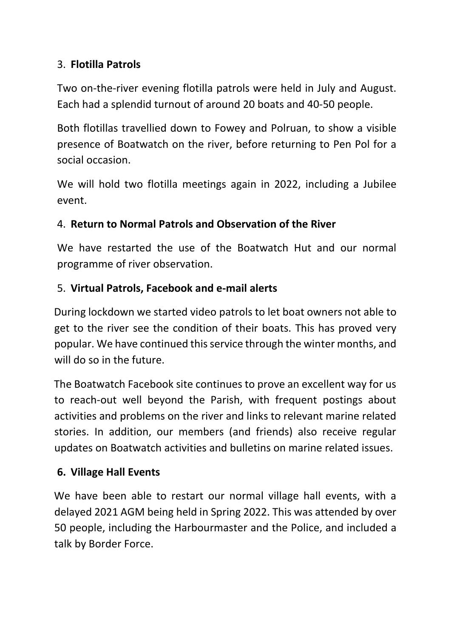#### 3. **Flotilla Patrols**

Two on-the-river evening flotilla patrols were held in July and August. Each had a splendid turnout of around 20 boats and 40-50 people.

Both flotillas travellied down to Fowey and Polruan, to show a visible presence of Boatwatch on the river, before returning to Pen Pol for a social occasion.

We will hold two flotilla meetings again in 2022, including a Jubilee event.

## 4. **Return to Normal Patrols and Observation of the River**

We have restarted the use of the Boatwatch Hut and our normal programme of river observation.

## 5. **Virtual Patrols, Facebook and e-mail alerts**

During lockdown we started video patrols to let boat owners not able to get to the river see the condition of their boats. This has proved very popular. We have continued this service through the winter months, and will do so in the future.

The Boatwatch Facebook site continues to prove an excellent way for us to reach-out well beyond the Parish, with frequent postings about activities and problems on the river and links to relevant marine related stories. In addition, our members (and friends) also receive regular updates on Boatwatch activities and bulletins on marine related issues.

# **6. Village Hall Events**

We have been able to restart our normal village hall events, with a delayed 2021 AGM being held in Spring 2022. This was attended by over 50 people, including the Harbourmaster and the Police, and included a talk by Border Force.